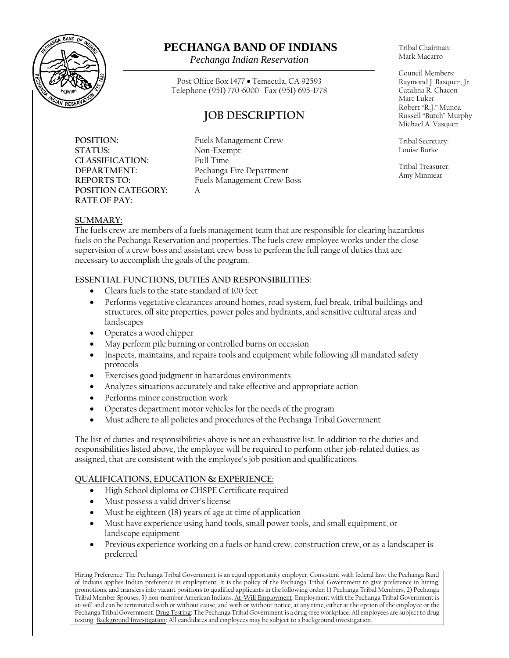

## **PECHANGA BAND OF INDIANS**

*Pechanga Indian Reservation*

Post Office Box 1477 • Temecula, CA 92593 Telephone (951) 770-6000 Fax (951) 695-1778

# **JOB DESCRIPTION**

**POSITION:** Fuels Management Crew **STATUS:** Non-Exempt **CLASSIFICATION:** Full Time **POSITION CATEGORY:** A **RATE OF PAY:**

**DEPARTMENT:** Pechanga Fire Department **REPORTS TO:** Fuels Management Crew Boss

Tribal Chairman: Mark Macarro

Council Members: Raymond J. Basquez, Jr. Catalina R. Chacon Marc Luker Robert "R.J." Munoa Russell "Butch" Murphy Michael A. Vasquez

Tribal Secretary: Louise Burke

Tribal Treasurer: Amy Minniear

## **SUMMARY:**

The fuels crew are members of a fuels management team that are responsible for clearing hazardous fuels on the Pechanga Reservation and properties. The fuels crew employee works under the close supervision of a crew boss and assistant crew boss to perform the full range of duties that are necessary to accomplish the goals of the program.

### **ESSENTIAL FUNCTIONS, DUTIES AND RESPONSIBILITIES:**

- Clears fuels to the state standard of 100 feet
- Performs vegetative clearances around homes, road system, fuel break, tribal buildings and structures, off site properties, power poles and hydrants, and sensitive cultural areas and landscapes
- Operates a wood chipper
- May perform pile burning or controlled burns on occasion
- Inspects, maintains, and repairs tools and equipment while following all mandated safety protocols
- Exercises good judgment in hazardous environments
- Analyzes situations accurately and take effective and appropriate action
- Performs minor construction work
- Operates department motor vehicles for the needs of the program
- Must adhere to all policies and procedures of the Pechanga Tribal Government

The list of duties and responsibilities above is not an exhaustive list. In addition to the duties and responsibilities listed above, the employee will be required to perform other job-related duties, as assigned, that are consistent with the employee's job position and qualifications.

### **QUALIFICATIONS, EDUCATION & EXPERIENCE:**

- High School diploma or CHSPE Certificate required
- Must possess a valid driver's license
- Must be eighteen (18) years of age at time of application
- Must have experience using hand tools, small power tools, and small equipment, or landscape equipment
- Previous experience working on a fuels or hand crew, construction crew, or as a landscaper is preferred

Hiring Preference: The Pechanga Tribal Government is an equal opportunity employer. Consistent with federal law, the Pechanga Band of Indians applies Indian preference in employment. It is the policy of the Pechanga Tribal Government to give preference in hiring, promotions, and transfers into vacant positions to qualified applicants in the following order: 1) Pechanga Tribal Members; 2) Pechanga Tribal Member Spouses; 3) non-member American Indians. At-Will Employment: Employment with the Pechanga Tribal Government is at-will and can be terminated with or without cause, and with or without notice, at any time, either at the option of the employee or the Pechanga Tribal Government. Drug Testing: The Pechanga Tribal Government is a drug-free workplace. All employees are subject to drug testing. Background Investigation: All candidates and employees may be subject to a background investigation.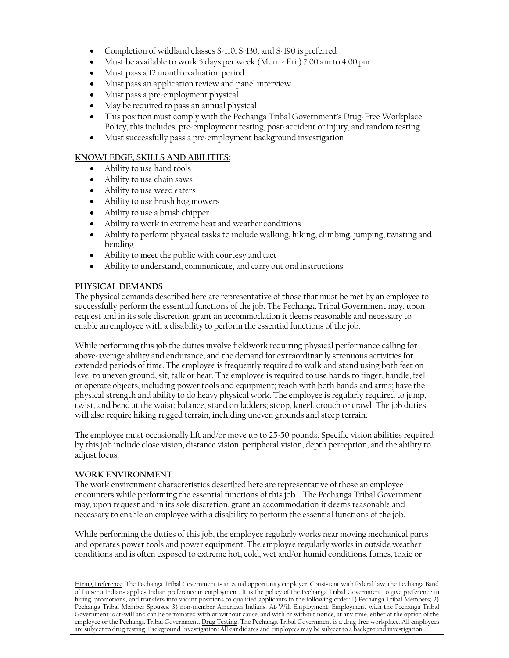- Completion of wildland classes S-110, S-130, and S-190 is preferred
- Must be available to work 5 days per week (Mon. Fri.) 7:00 am to 4:00pm
- Must pass a 12 month evaluation period
- Must pass an application review and panel interview
- Must pass a pre-employment physical
- May be required to pass an annual physical
- This position must comply with the Pechanga Tribal Government's Drug-Free Workplace Policy, this includes: pre-employment testing, post-accident or injury, and random testing
- Must successfully pass a pre-employment background investigation

### **KNOWLEDGE, SKILLS AND ABILITIES:**

- Ability to use hand tools
- Ability to use chain saws
- Ability to use weed eaters
- Ability to use brush hog mowers
- Ability to use a brush chipper
- Ability to work in extreme heat and weather conditions
- Ability to perform physical tasks to include walking, hiking, climbing, jumping, twisting and bending
- Ability to meet the public with courtesy and tact
- Ability to understand, communicate, and carry out oral instructions

#### **PHYSICAL DEMANDS**

The physical demands described here are representative of those that must be met by an employee to successfully perform the essential functions of the job. The Pechanga Tribal Government may, upon request and in its sole discretion, grant an accommodation it deems reasonable and necessary to enable an employee with a disability to perform the essential functions of the job.

While performing this job the duties involve fieldwork requiring physical performance calling for above-average ability and endurance, and the demand for extraordinarily strenuous activities for extended periods of time. The employee is frequently required to walk and stand using both feet on level to uneven ground, sit, talk or hear. The employee is required to use hands to finger, handle, feel or operate objects, including power tools and equipment; reach with both hands and arms; have the physical strength and ability to do heavy physical work. The employee is regularly required to jump, twist, and bend at the waist; balance, stand on ladders; stoop, kneel, crouch or crawl. The job duties will also require hiking rugged terrain, including uneven grounds and steep terrain.

The employee must occasionally lift and/or move up to 25-50 pounds. Specific vision abilities required by this job include close vision, distance vision, peripheral vision, depth perception, and the ability to adjust focus.

#### **WORK ENVIRONMENT**

The work environment characteristics described here are representative of those an employee encounters while performing the essential functions of this job. . The Pechanga Tribal Government may, upon request and in its sole discretion, grant an accommodation it deems reasonable and necessary to enable an employee with a disability to perform the essential functions of the job.

While performing the duties of this job, the employee regularly works near moving mechanical parts and operates power tools and power equipment. The employee regularly works in outside weather conditions and is often exposed to extreme hot, cold, wet and/or humid conditions, fumes, toxic or

Hiring Preference: The Pechanga Tribal Government is an equal opportunity employer. Consistent with federal law, the Pechanga Band of Luiseno Indians applies Indian preference in employment. It is the policy of the Pechanga Tribal Government to give preference in hiring, promotions, and transfers into vacant positions to qualified applicants in the following order: 1) Pechanga Tribal Members; 2) Pechanga Tribal Member Spouses; 3) non-member American Indians. At-Will Employment: Employment with the Pechanga Tribal Government is at-will and can be terminated with or without cause, and with or without notice, at any time, either at the option of the employee or the Pechanga Tribal Government. Drug Testing: The Pechanga Tribal Government is a drug-free workplace. All employees are subject to drug testing. Background Investigation: All candidates and employees may be subject to a background investigation.